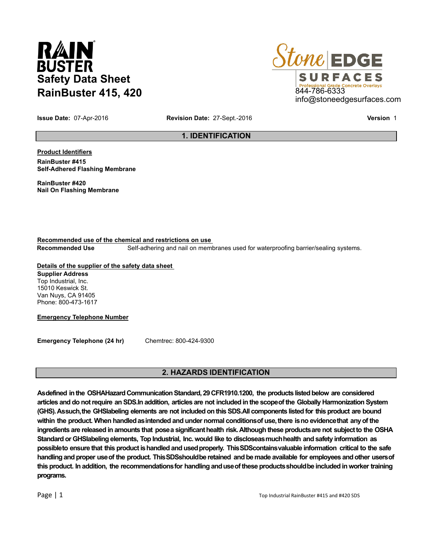# RAIN **BUSTER Safety Data Sheet RainBuster 415, 420**



**Issue Date:** 07-Apr-2016 **Revision Date:** 27-Sept.-2016 **Version** 1

# **1. IDENTIFICATION**

**Product Identifiers RainBuster #415**

**Self-Adhered Flashing Membrane**

**RainBuster #420 Nail On Flashing Membrane**

**Recommended use of the chemical and restrictions on use Recommended Use** Self-adhering and nail on membranes used for waterproofing barrier/sealing systems.

# **Details of the supplier of the safety data sheet**

**Supplier Address** Top Industrial, Inc. 15010 Keswick St. Van Nuys, CA 91405 Phone: 800-473-1617

**Emergency Telephone Number**

**Emergency Telephone (24 hr)** Chemtrec: 800-424-9300

# **2. HAZARDS IDENTIFICATION**

**Asdefined in the OSHAHazard Communication Standard, 29 CFR1910.1200, the products listed below are considered articles and do not require an SDS.In addition, articles are not included in the scopeof the Globally Harmonization System (GHS). Assuch,the GHSlabeling elements are not included on this SDS.All components listed for this product are bound within the product. When handledasintended and under normal conditionsof use,there isno evidencethat anyof the ingredients are released in amounts that posea significanthealth risk. Although these productsare not subjectto the OSHA Standard or GHSlabeling elements, Top Industrial, Inc. would like to discloseasmuchhealth and safety information as possibleto ensure that this product ishandled and usedproperly. ThisSDScontainsvaluable information critical to the safe handling and proper useof the product. ThisSDSshouldbe retained and be made available for employees and other usersof this product. In addition, the recommendationsfor handling anduseof these productsshouldbe included in worker training programs.**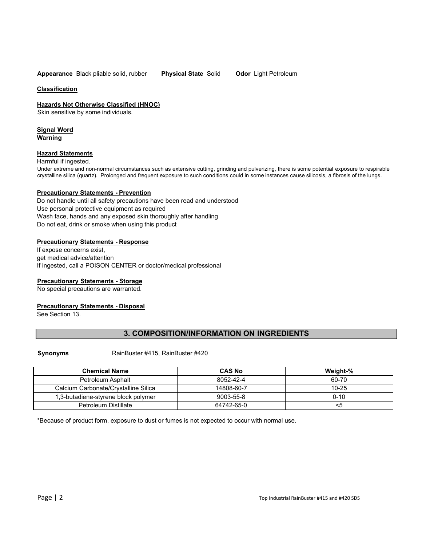**Appearance** Black pliable solid, rubber **Physical State** Solid **Odor** Light Petroleum

#### **Classification**

**Hazards Not Otherwise Classified (HNOC)**

Skin sensitive by some individuals.

#### **Signal Word Warning**

#### **Hazard Statements**

#### Harmful if ingested.

Under extreme and non-normal circumstances such as extensive cutting, grinding and pulverizing, there is some potential exposure to respirable crystalline silica (quartz). Prolonged and frequent exposure to such conditions could in some instances cause silicosis, a fibrosis of the lungs.

#### **Precautionary Statements - Prevention**

Do not handle until all safety precautions have been read and understood Use personal protective equipment as required Wash face, hands and any exposed skin thoroughly after handling Do not eat, drink or smoke when using this product

#### **Precautionary Statements - Response**

If expose concerns exist, get medical advice/attention If ingested, call a POISON CENTER or doctor/medical professional

#### **Precautionary Statements - Storage**

No special precautions are warranted.

# **Precautionary Statements - Disposal**

See Section 13.

# **3. COMPOSITION/INFORMATION ON INGREDIENTS**

**Synonyms** RainBuster #415, RainBuster #420

| <b>Chemical Name</b>                 | <b>CAS No</b> | Weight-%  |
|--------------------------------------|---------------|-----------|
| Petroleum Asphalt                    | 8052-42-4     | 60-70     |
| Calcium Carbonate/Crystalline Silica | 14808-60-7    | $10 - 25$ |
| 1,3-butadiene-styrene block polymer  | 9003-55-8     | $0 - 10$  |
| Petroleum Distillate                 | 64742-65-0    | <5        |

\*Because of product form, exposure to dust or fumes is not expected to occur with normal use.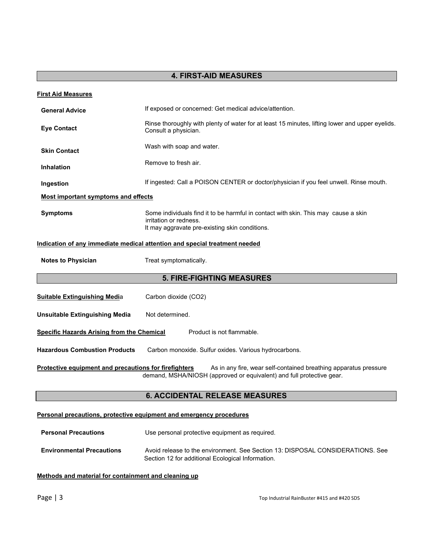# **4. FIRST-AID MEASURES**

| <b>First Aid Measures</b>                             |                                                                                                                                                                |
|-------------------------------------------------------|----------------------------------------------------------------------------------------------------------------------------------------------------------------|
| <b>General Advice</b>                                 | If exposed or concerned: Get medical advice/attention.                                                                                                         |
| <b>Eye Contact</b>                                    | Rinse thoroughly with plenty of water for at least 15 minutes, lifting lower and upper eyelids.<br>Consult a physician.                                        |
| <b>Skin Contact</b>                                   | Wash with soap and water.                                                                                                                                      |
| <b>Inhalation</b>                                     | Remove to fresh air.                                                                                                                                           |
| Ingestion                                             | If ingested: Call a POISON CENTER or doctor/physician if you feel unwell. Rinse mouth.                                                                         |
| <b>Most important symptoms and effects</b>            |                                                                                                                                                                |
| <b>Symptoms</b>                                       | Some individuals find it to be harmful in contact with skin. This may cause a skin<br>irritation or redness.<br>It may aggravate pre-existing skin conditions. |
|                                                       | Indication of any immediate medical attention and special treatment needed                                                                                     |
| <b>Notes to Physician</b>                             | Treat symptomatically.                                                                                                                                         |
|                                                       | <b>5. FIRE-FIGHTING MEASURES</b>                                                                                                                               |
| <b>Suitable Extinguishing Media</b>                   | Carbon dioxide (CO2)                                                                                                                                           |
| <b>Unsuitable Extinguishing Media</b>                 | Not determined.                                                                                                                                                |
| <b>Specific Hazards Arising from the Chemical</b>     | Product is not flammable.                                                                                                                                      |
| <b>Hazardous Combustion Products</b>                  | Carbon monoxide. Sulfur oxides. Various hydrocarbons.                                                                                                          |
| Protective equipment and precautions for firefighters | As in any fire, wear self-contained breathing apparatus pressure<br>demand, MSHA/NIOSH (approved or equivalent) and full protective gear.                      |
|                                                       | <b>6. ACCIDENTAL RELEASE MEASURES</b>                                                                                                                          |
|                                                       | Personal precautions, protective equipment and emergency procedures                                                                                            |

**Personal Precautions** Use personal protective equipment as required. **Environmental Precautions** Avoid release to the environment. See Section 13: DISPOSAL CONSIDERATIONS. See

Section 12 for additional Ecological Information.

# **Methods and material for containment and cleaning up**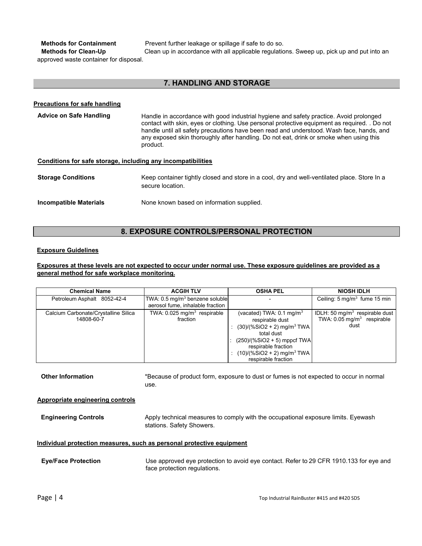**Methods for Containment** Prevent further leakage or spillage if safe to do so.

**Methods for Clean-Up** Clean up in accordance with all applicable regulations. Sweep up, pick up and put into an approved waste container for disposal.

# **7. HANDLING AND STORAGE**

#### **Precautions for safe handling**

# Advice on Safe Handling **Handle in accordance with good industrial hygiene and safety practice. Avoid prolonged** contact with skin, eyes or clothing. Use personal protective equipment as required. . Do not handle until all safety precautions have been read and understood. Wash face, hands, and any exposed skin thoroughly after handling. Do not eat, drink or smoke when using this product.

#### **Conditions for safe storage, including any incompatibilities**

| <b>Storage Conditions</b>     | Keep container tightly closed and store in a cool, dry and well-ventilated place. Store In a<br>secure location. |
|-------------------------------|------------------------------------------------------------------------------------------------------------------|
| <b>Incompatible Materials</b> | None known based on information supplied.                                                                        |

# **8. EXPOSURE CONTROLS/PERSONAL PROTECTION**

#### **Exposure Guidelines**

### **Exposures at these levels are not expected to occur under normal use. These exposure guidelines are provided as a general method for safe workplace monitoring.**

| <b>Chemical Name</b>                               | <b>ACGIH TLV</b>                                                                 | <b>OSHA PEL</b>                                                                                                                                                                                                                              | <b>NIOSH IDLH</b>                                                                 |
|----------------------------------------------------|----------------------------------------------------------------------------------|----------------------------------------------------------------------------------------------------------------------------------------------------------------------------------------------------------------------------------------------|-----------------------------------------------------------------------------------|
| Petroleum Asphalt 8052-42-4                        | TWA: $0.5 \,\mathrm{mq/m^3}$ benzene soluble<br>aerosol fume, inhalable fraction |                                                                                                                                                                                                                                              | Ceiling: $5 \text{ mg/m}^3$ fume 15 min                                           |
| Calcium Carbonate/Crystalline Silica<br>14808-60-7 | TWA: $0.025$ mg/m <sup>3</sup> respirable<br>fraction                            | (vacated) TWA: $0.1 \text{ mg/m}^3$<br>respirable dust<br>$(30)/(%SiO2 + 2)$ mg/m <sup>3</sup> TWA<br>total dust<br>$(250)/(%SiO2 + 5)$ mppcf TWA<br>respirable fraction<br>$(10)/($ %SiO2 + 2) mg/m <sup>3</sup> TWA<br>respirable fraction | IDLH: 50 $mq/m3$ respirable dust<br>TWA: $0.05 \text{ mg/m}^3$ respirable<br>dust |

**Other Information** \*Because of product form, exposure to dust or fumes is not expected to occur in normal use.

#### **Appropriate engineering controls**

**Engineering Controls Apply technical measures to comply with the occupational exposure limits. Eyewash** stations. Safety Showers.

#### **Individual protection measures, such as personal protective equipment**

| <b>Eye/Face Protection</b> | Use approved eye protection to avoid eye contact. Refer to 29 CFR 1910.133 for eye and |  |
|----------------------------|----------------------------------------------------------------------------------------|--|
|                            | face protection regulations.                                                           |  |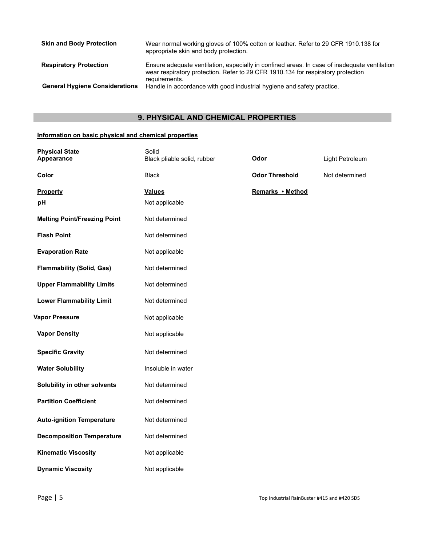| <b>Skin and Body Protection</b>       | Wear normal working gloves of 100% cotton or leather. Refer to 29 CFR 1910.138 for<br>appropriate skin and body protection.                                                                       |
|---------------------------------------|---------------------------------------------------------------------------------------------------------------------------------------------------------------------------------------------------|
| <b>Respiratory Protection</b>         | Ensure adequate ventilation, especially in confined areas. In case of inadequate ventilation<br>wear respiratory protection. Refer to 29 CFR 1910.134 for respiratory protection<br>requirements. |
| <b>General Hygiene Considerations</b> | Handle in accordance with good industrial hygiene and safety practice.                                                                                                                            |

# **9. PHYSICAL AND CHEMICAL PROPERTIES**

# **Information on basic physical and chemical properties**

| <b>Physical State</b><br>Appearance | Solid<br>Black pliable solid, rubber | Odor                  | Light Petroleum |
|-------------------------------------|--------------------------------------|-----------------------|-----------------|
| Color                               | <b>Black</b>                         | <b>Odor Threshold</b> | Not determined  |
| <b>Property</b>                     | <b>Values</b>                        | Remarks • Method      |                 |
| pH                                  | Not applicable                       |                       |                 |
| <b>Melting Point/Freezing Point</b> | Not determined                       |                       |                 |
| <b>Flash Point</b>                  | Not determined                       |                       |                 |
| <b>Evaporation Rate</b>             | Not applicable                       |                       |                 |
| <b>Flammability (Solid, Gas)</b>    | Not determined                       |                       |                 |
| <b>Upper Flammability Limits</b>    | Not determined                       |                       |                 |
| <b>Lower Flammability Limit</b>     | Not determined                       |                       |                 |
| <b>Vapor Pressure</b>               | Not applicable                       |                       |                 |
| <b>Vapor Density</b>                | Not applicable                       |                       |                 |
| <b>Specific Gravity</b>             | Not determined                       |                       |                 |
| <b>Water Solubility</b>             | Insoluble in water                   |                       |                 |
| Solubility in other solvents        | Not determined                       |                       |                 |
| <b>Partition Coefficient</b>        | Not determined                       |                       |                 |
| <b>Auto-ignition Temperature</b>    | Not determined                       |                       |                 |
| <b>Decomposition Temperature</b>    | Not determined                       |                       |                 |
| <b>Kinematic Viscosity</b>          | Not applicable                       |                       |                 |
| <b>Dynamic Viscosity</b>            | Not applicable                       |                       |                 |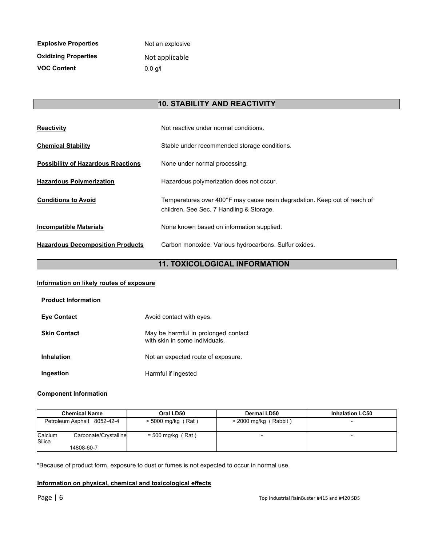| <b>Explosive Properties</b> | Not an explosive  |
|-----------------------------|-------------------|
| <b>Oxidizing Properties</b> | Not applicable    |
| <b>VOC Content</b>          | $0.0 \text{ a/l}$ |

# **10. STABILITY AND REACTIVITY**

| <b>Reactivity</b>                         | Not reactive under normal conditions.                                                                                 |
|-------------------------------------------|-----------------------------------------------------------------------------------------------------------------------|
| <b>Chemical Stability</b>                 | Stable under recommended storage conditions.                                                                          |
| <b>Possibility of Hazardous Reactions</b> | None under normal processing.                                                                                         |
| <b>Hazardous Polymerization</b>           | Hazardous polymerization does not occur.                                                                              |
| <b>Conditions to Avoid</b>                | Temperatures over 400°F may cause resin degradation. Keep out of reach of<br>children. See Sec. 7 Handling & Storage. |
| <b>Incompatible Materials</b>             | None known based on information supplied.                                                                             |
| <b>Hazardous Decomposition Products</b>   | Carbon monoxide. Various hydrocarbons. Sulfur oxides.                                                                 |

# **11. TOXICOLOGICAL INFORMATION**

## **Information on likely routes of exposure**

| <b>Product Information</b> |                                                                       |
|----------------------------|-----------------------------------------------------------------------|
| <b>Eve Contact</b>         | Avoid contact with eyes.                                              |
| <b>Skin Contact</b>        | May be harmful in prolonged contact<br>with skin in some individuals. |
| <b>Inhalation</b>          | Not an expected route of exposure.                                    |
| Ingestion                  | Harmful if ingested                                                   |

# **Component Information**

| <b>Chemical Name</b>                       | Oral LD50            | Dermal LD50             | <b>Inhalation LC50</b>   |
|--------------------------------------------|----------------------|-------------------------|--------------------------|
| Petroleum Asphalt 8052-42-4                | $>$ 5000 mg/kg (Rat) | $>$ 2000 mg/kg (Rabbit) | $\overline{\phantom{0}}$ |
| Calcium<br>Carbonate/Crystalline<br>Silica | $=$ 500 mg/kg (Rat)  |                         | -                        |
| 14808-60-7                                 |                      |                         |                          |

\*Because of product form, exposure to dust or fumes is not expected to occur in normal use.

# **Information on physical, chemical and toxicological effects**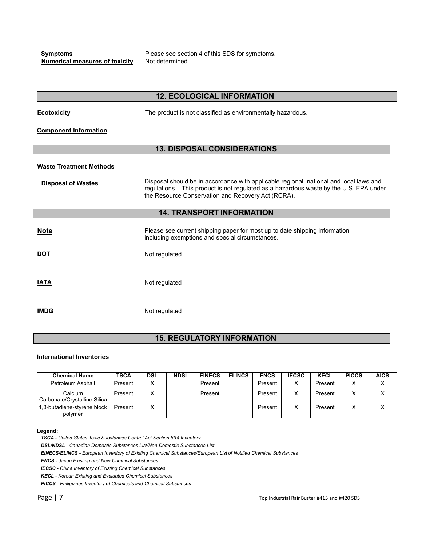**Numerical measures of toxicity** Not determined

I

**Symptoms** Please see section 4 of this SDS for symptoms.

|                                | <b>12. ECOLOGICAL INFORMATION</b>                                                                                                                                                                                                     |
|--------------------------------|---------------------------------------------------------------------------------------------------------------------------------------------------------------------------------------------------------------------------------------|
| <b>Ecotoxicity</b>             | The product is not classified as environmentally hazardous.                                                                                                                                                                           |
| <b>Component Information</b>   |                                                                                                                                                                                                                                       |
|                                | <b>13. DISPOSAL CONSIDERATIONS</b>                                                                                                                                                                                                    |
| <b>Waste Treatment Methods</b> |                                                                                                                                                                                                                                       |
| <b>Disposal of Wastes</b>      | Disposal should be in accordance with applicable regional, national and local laws and<br>regulations. This product is not regulated as a hazardous waste by the U.S. EPA under<br>the Resource Conservation and Recovery Act (RCRA). |
|                                | <b>14. TRANSPORT INFORMATION</b>                                                                                                                                                                                                      |
| <b>Note</b>                    | Please see current shipping paper for most up to date shipping information,<br>including exemptions and special circumstances.                                                                                                        |
| <u>DOT</u>                     | Not regulated                                                                                                                                                                                                                         |
| <u>IATA</u>                    | Not regulated                                                                                                                                                                                                                         |
| IMDG                           | Not regulated                                                                                                                                                                                                                         |
|                                |                                                                                                                                                                                                                                       |

# **15. REGULATORY INFORMATION**

# **International Inventories**

| <b>Chemical Name</b>                    | <b>TSCA</b> | <b>DSL</b> | <b>NDSL</b> | <b>EINECS</b> | <b>ELINCS</b> | <b>ENCS</b> | <b>IECSC</b> | <b>KECL</b> | <b>PICCS</b> | <b>AICS</b> |
|-----------------------------------------|-------------|------------|-------------|---------------|---------------|-------------|--------------|-------------|--------------|-------------|
| Petroleum Asphalt                       | Present     |            |             | Present       |               | Present     | X            | Present     |              | ⌒           |
| Calcium<br>Carbonate/Crystalline Silica | Present     |            |             | Present       |               | Present     |              | Present     |              |             |
| 1,3-butadiene-styrene block<br>polymer  | Present     |            |             |               |               | Present     |              | Present     |              |             |

#### **Legend:**

*TSCA - United States Toxic Substances Control Act Section 8(b) Inventory*

*DSL/NDSL - Canadian Domestic Substances List/Non-Domestic Substances List*

*EINECS/ELINCS - European Inventory of Existing Chemical Substances/European List of Notified Chemical Substances*

*ENCS - Japan Existing and New Chemical Substances*

*IECSC - China Inventory of Existing Chemical Substances*

*KECL - Korean Existing and Evaluated Chemical Substances*

*PICCS - Philippines Inventory of Chemicals and Chemical Substances*